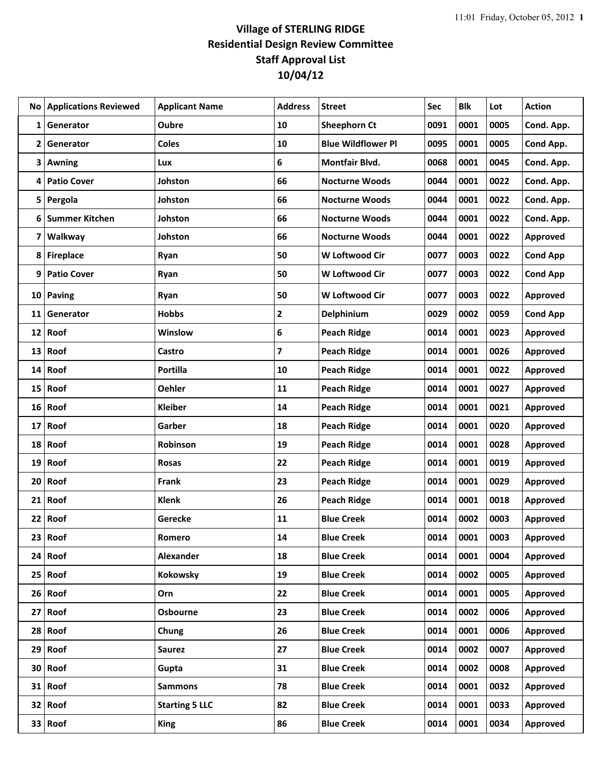|                 | <b>No Applications Reviewed</b> | <b>Applicant Name</b> | <b>Address</b> | <b>Street</b>             | Sec  | <b>Blk</b> | Lot  | <b>Action</b>   |
|-----------------|---------------------------------|-----------------------|----------------|---------------------------|------|------------|------|-----------------|
| 1               | Generator                       | <b>Oubre</b>          | 10             | <b>Sheephorn Ct</b>       | 0091 | 0001       | 0005 | Cond. App.      |
| 2               | Generator                       | <b>Coles</b>          | 10             | <b>Blue Wildflower Pl</b> | 0095 | 0001       | 0005 | Cond App.       |
| 3               | Awning                          | Lux                   | 6              | Montfair Blvd.            | 0068 | 0001       | 0045 | Cond. App.      |
| 4               | <b>Patio Cover</b>              | Johston               | 66             | <b>Nocturne Woods</b>     | 0044 | 0001       | 0022 | Cond. App.      |
| 5.              | Pergola                         | Johston               | 66             | <b>Nocturne Woods</b>     | 0044 | 0001       | 0022 | Cond. App.      |
| 6               | <b>Summer Kitchen</b>           | Johston               | 66             | <b>Nocturne Woods</b>     | 0044 | 0001       | 0022 | Cond. App.      |
| 7               | Walkway                         | Johston               | 66             | <b>Nocturne Woods</b>     | 0044 | 0001       | 0022 | Approved        |
| 8               | <b>Fireplace</b>                | Ryan                  | 50             | <b>W Loftwood Cir</b>     | 0077 | 0003       | 0022 | <b>Cond App</b> |
| 9               | <b>Patio Cover</b>              | Ryan                  | 50             | W Loftwood Cir            | 0077 | 0003       | 0022 | <b>Cond App</b> |
| 10              | Paving                          | Ryan                  | 50             | W Loftwood Cir            | 0077 | 0003       | 0022 | Approved        |
| 11              | Generator                       | <b>Hobbs</b>          | 2              | Delphinium                | 0029 | 0002       | 0059 | <b>Cond App</b> |
| 12              | Roof                            | Winslow               | 6              | <b>Peach Ridge</b>        | 0014 | 0001       | 0023 | Approved        |
| 13              | Roof                            | Castro                | $\overline{7}$ | <b>Peach Ridge</b>        | 0014 | 0001       | 0026 | Approved        |
| 14              | Roof                            | <b>Portilla</b>       | 10             | <b>Peach Ridge</b>        | 0014 | 0001       | 0022 | Approved        |
| 15              | Roof                            | <b>Oehler</b>         | 11             | <b>Peach Ridge</b>        | 0014 | 0001       | 0027 | Approved        |
| 16              | Roof                            | <b>Kleiber</b>        | 14             | <b>Peach Ridge</b>        | 0014 | 0001       | 0021 | Approved        |
| 17              | Roof                            | Garber                | 18             | <b>Peach Ridge</b>        | 0014 | 0001       | 0020 | Approved        |
| 18              | Roof                            | Robinson              | 19             | <b>Peach Ridge</b>        | 0014 | 0001       | 0028 | Approved        |
| 19              | Roof                            | <b>Rosas</b>          | 22             | <b>Peach Ridge</b>        | 0014 | 0001       | 0019 | Approved        |
| 20              | Roof                            | Frank                 | 23             | <b>Peach Ridge</b>        | 0014 | 0001       | 0029 | Approved        |
| 21              | Roof                            | <b>Klenk</b>          | 26             | <b>Peach Ridge</b>        | 0014 | 0001       | 0018 | Approved        |
| 22              | Roof                            | Gerecke               | 11             | <b>Blue Creek</b>         | 0014 | 0002       | 0003 | Approved        |
|                 | 23 Roof                         | Romero                | 14             | <b>Blue Creek</b>         | 0014 | 0001       | 0003 | <b>Approved</b> |
|                 | $24$ Roof                       | Alexander             | 18             | <b>Blue Creek</b>         | 0014 | 0001       | 0004 | Approved        |
|                 | $25$ Roof                       | Kokowsky              | 19             | <b>Blue Creek</b>         | 0014 | 0002       | 0005 | Approved        |
|                 | $26$ Roof                       | Orn                   | 22             | <b>Blue Creek</b>         | 0014 | 0001       | 0005 | Approved        |
| 27 <sub>1</sub> | Roof                            | <b>Osbourne</b>       | 23             | <b>Blue Creek</b>         | 0014 | 0002       | 0006 | Approved        |
|                 | $28$ Roof                       | Chung                 | 26             | <b>Blue Creek</b>         | 0014 | 0001       | 0006 | Approved        |
| 29              | Roof                            | Saurez                | 27             | <b>Blue Creek</b>         | 0014 | 0002       | 0007 | Approved        |
|                 | $30$ Roof                       | Gupta                 | 31             | <b>Blue Creek</b>         | 0014 | 0002       | 0008 | Approved        |
|                 | $31$ Roof                       | <b>Sammons</b>        | 78             | <b>Blue Creek</b>         | 0014 | 0001       | 0032 | Approved        |
|                 | $32$ Roof                       | <b>Starting 5 LLC</b> | 82             | <b>Blue Creek</b>         | 0014 | 0001       | 0033 | Approved        |
|                 | $33$ Roof                       | <b>King</b>           | 86             | <b>Blue Creek</b>         | 0014 | 0001       | 0034 | Approved        |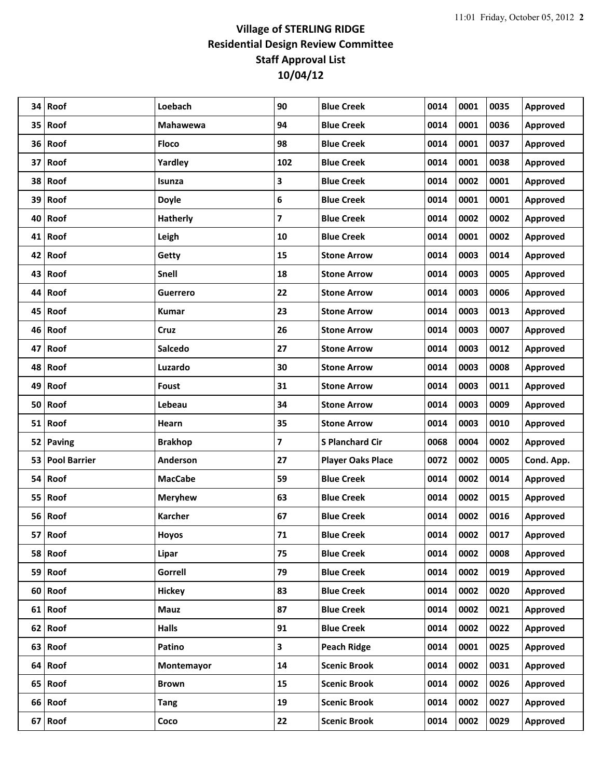| 34 | Roof                | Loebach         | 90                      | <b>Blue Creek</b>        | 0014 | 0001 | 0035 | Approved        |
|----|---------------------|-----------------|-------------------------|--------------------------|------|------|------|-----------------|
| 35 | Roof                | <b>Mahawewa</b> | 94                      | <b>Blue Creek</b>        | 0014 | 0001 | 0036 | Approved        |
|    | 36 Roof             | <b>Floco</b>    | 98                      | <b>Blue Creek</b>        | 0014 | 0001 | 0037 | Approved        |
|    | 37 Roof             | Yardley         | 102                     | <b>Blue Creek</b>        | 0014 | 0001 | 0038 | Approved        |
| 38 | Roof                | Isunza          | 3                       | <b>Blue Creek</b>        | 0014 | 0002 | 0001 | Approved        |
|    | 39 Roof             | <b>Doyle</b>    | 6                       | <b>Blue Creek</b>        | 0014 | 0001 | 0001 | Approved        |
| 40 | Roof                | <b>Hatherly</b> | $\overline{\mathbf{z}}$ | <b>Blue Creek</b>        | 0014 | 0002 | 0002 | Approved        |
| 41 | Roof                | Leigh           | 10                      | <b>Blue Creek</b>        | 0014 | 0001 | 0002 | Approved        |
| 42 | Roof                | Getty           | 15                      | <b>Stone Arrow</b>       | 0014 | 0003 | 0014 | Approved        |
| 43 | Roof                | Snell           | 18                      | <b>Stone Arrow</b>       | 0014 | 0003 | 0005 | Approved        |
| 44 | Roof                | <b>Guerrero</b> | 22                      | <b>Stone Arrow</b>       | 0014 | 0003 | 0006 | Approved        |
| 45 | Roof                | <b>Kumar</b>    | 23                      | <b>Stone Arrow</b>       | 0014 | 0003 | 0013 | Approved        |
|    | 46 Roof             | Cruz            | 26                      | <b>Stone Arrow</b>       | 0014 | 0003 | 0007 | Approved        |
| 47 | Roof                | Salcedo         | 27                      | <b>Stone Arrow</b>       | 0014 | 0003 | 0012 | Approved        |
| 48 | Roof                | Luzardo         | 30                      | <b>Stone Arrow</b>       | 0014 | 0003 | 0008 | Approved        |
| 49 | Roof                | Foust           | 31                      | <b>Stone Arrow</b>       | 0014 | 0003 | 0011 | Approved        |
| 50 | Roof                | Lebeau          | 34                      | <b>Stone Arrow</b>       | 0014 | 0003 | 0009 | Approved        |
|    | 51 Roof             | Hearn           | 35                      | <b>Stone Arrow</b>       | 0014 | 0003 | 0010 | Approved        |
|    | 52 Paving           | <b>Brakhop</b>  | $\overline{\mathbf{z}}$ | <b>S Planchard Cir</b>   | 0068 | 0004 | 0002 | Approved        |
| 53 | <b>Pool Barrier</b> | Anderson        | 27                      | <b>Player Oaks Place</b> | 0072 | 0002 | 0005 | Cond. App.      |
| 54 | Roof                | <b>MacCabe</b>  | 59                      | <b>Blue Creek</b>        | 0014 | 0002 | 0014 | Approved        |
| 55 | Roof                | <b>Meryhew</b>  | 63                      | <b>Blue Creek</b>        | 0014 | 0002 | 0015 | Approved        |
|    | 56 Roof             | <b>Karcher</b>  | 67                      | <b>Blue Creek</b>        | 0014 | 0002 | 0016 | Approved        |
|    | 57 Roof             | <b>Hoyos</b>    | 71                      | <b>Blue Creek</b>        | 0014 | 0002 | 0017 | <b>Approved</b> |
|    | 58 Roof             | Lipar           | 75                      | <b>Blue Creek</b>        | 0014 | 0002 | 0008 | Approved        |
|    | 59 Roof             | Gorrell         | 79                      | <b>Blue Creek</b>        | 0014 | 0002 | 0019 | Approved        |
|    | 60 Roof             | <b>Hickey</b>   | 83                      | <b>Blue Creek</b>        | 0014 | 0002 | 0020 | <b>Approved</b> |
|    | 61 Roof             | <b>Mauz</b>     | 87                      | <b>Blue Creek</b>        | 0014 | 0002 | 0021 | Approved        |
|    | $62$ Roof           | Halls           | 91                      | <b>Blue Creek</b>        | 0014 | 0002 | 0022 | Approved        |
|    | 63 Roof             | Patino          | $\mathbf{3}$            | <b>Peach Ridge</b>       | 0014 | 0001 | 0025 | Approved        |
|    | 64 Roof             | Montemayor      | 14                      | <b>Scenic Brook</b>      | 0014 | 0002 | 0031 | Approved        |
|    |                     |                 |                         |                          |      |      |      |                 |
|    | 65 Roof             | <b>Brown</b>    | 15                      | <b>Scenic Brook</b>      | 0014 | 0002 | 0026 | Approved        |
|    | 66 Roof             | <b>Tang</b>     | 19                      | <b>Scenic Brook</b>      | 0014 | 0002 | 0027 | Approved        |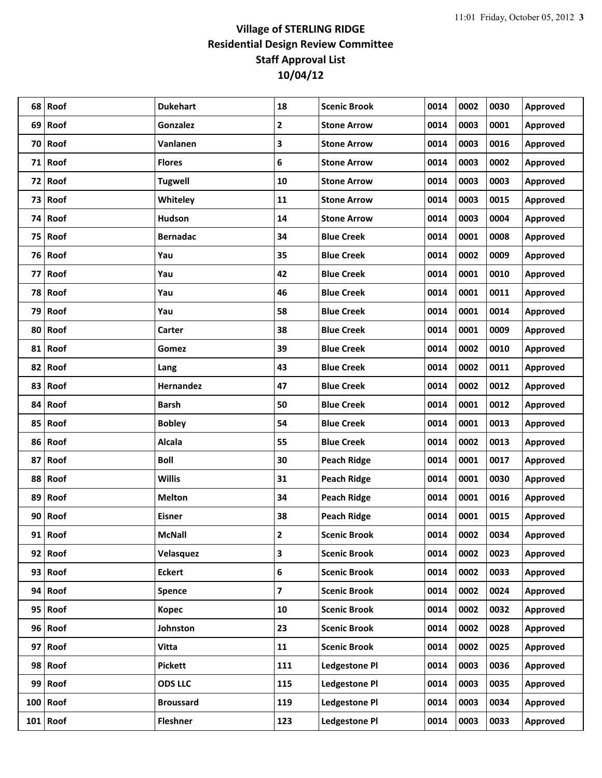| 68 | Roof       | <b>Dukehart</b>  | 18                      | <b>Scenic Brook</b>  | 0014 | 0002 | 0030 | Approved        |
|----|------------|------------------|-------------------------|----------------------|------|------|------|-----------------|
| 69 | Roof       | Gonzalez         | $\overline{2}$          | <b>Stone Arrow</b>   | 0014 | 0003 | 0001 | Approved        |
|    | 70 Roof    | Vanlanen         | 3                       | <b>Stone Arrow</b>   | 0014 | 0003 | 0016 | Approved        |
|    | $71$ Roof  | <b>Flores</b>    | 6                       | <b>Stone Arrow</b>   | 0014 | 0003 | 0002 | Approved        |
|    | 72 Roof    | <b>Tugwell</b>   | 10                      | <b>Stone Arrow</b>   | 0014 | 0003 | 0003 | Approved        |
|    | 73 Roof    | Whiteley         | 11                      | <b>Stone Arrow</b>   | 0014 | 0003 | 0015 | Approved        |
|    | 74 Roof    | Hudson           | 14                      | <b>Stone Arrow</b>   | 0014 | 0003 | 0004 | Approved        |
|    | 75 Roof    | <b>Bernadac</b>  | 34                      | <b>Blue Creek</b>    | 0014 | 0001 | 0008 | Approved        |
|    | 76 Roof    | Yau              | 35                      | <b>Blue Creek</b>    | 0014 | 0002 | 0009 | Approved        |
| 77 | Roof       | Yau              | 42                      | <b>Blue Creek</b>    | 0014 | 0001 | 0010 | Approved        |
|    | 78 Roof    | Yau              | 46                      | <b>Blue Creek</b>    | 0014 | 0001 | 0011 | Approved        |
| 79 | Roof       | Yau              | 58                      | <b>Blue Creek</b>    | 0014 | 0001 | 0014 | Approved        |
|    | 80 Roof    | Carter           | 38                      | <b>Blue Creek</b>    | 0014 | 0001 | 0009 | Approved        |
|    | 81 Roof    | Gomez            | 39                      | <b>Blue Creek</b>    | 0014 | 0002 | 0010 | Approved        |
| 82 | Roof       | Lang             | 43                      | <b>Blue Creek</b>    | 0014 | 0002 | 0011 | Approved        |
| 83 | Roof       | Hernandez        | 47                      | <b>Blue Creek</b>    | 0014 | 0002 | 0012 | Approved        |
| 84 | Roof       | <b>Barsh</b>     | 50                      | <b>Blue Creek</b>    | 0014 | 0001 | 0012 | Approved        |
|    | 85 Roof    | <b>Bobley</b>    | 54                      | <b>Blue Creek</b>    | 0014 | 0001 | 0013 | Approved        |
|    | 86 Roof    | <b>Alcala</b>    | 55                      | <b>Blue Creek</b>    | 0014 | 0002 | 0013 | Approved        |
| 87 | Roof       | <b>Boll</b>      | 30                      | <b>Peach Ridge</b>   | 0014 | 0001 | 0017 | Approved        |
| 88 | Roof       | <b>Willis</b>    | 31                      | <b>Peach Ridge</b>   | 0014 | 0001 | 0030 | Approved        |
| 89 | Roof       | <b>Melton</b>    | 34                      | <b>Peach Ridge</b>   | 0014 | 0001 | 0016 | Approved        |
|    | 90 Roof    | <b>Eisner</b>    | 38                      | <b>Peach Ridge</b>   | 0014 | 0001 | 0015 | Approved        |
|    | 91 Roof    | <b>McNall</b>    | $\mathbf{2}$            | <b>Scenic Brook</b>  | 0014 | 0002 | 0034 | Approved        |
|    | 92 Roof    | Velasquez        | 3                       | <b>Scenic Brook</b>  | 0014 | 0002 | 0023 | Approved        |
|    | 93 Roof    | <b>Eckert</b>    | $\boldsymbol{6}$        | <b>Scenic Brook</b>  | 0014 | 0002 | 0033 | Approved        |
|    | 94 Roof    | <b>Spence</b>    | $\overline{\mathbf{z}}$ | <b>Scenic Brook</b>  | 0014 | 0002 | 0024 | Approved        |
|    | 95 Roof    | <b>Kopec</b>     | 10                      | <b>Scenic Brook</b>  | 0014 | 0002 | 0032 | <b>Approved</b> |
|    | 96 Roof    | Johnston         | 23                      | <b>Scenic Brook</b>  | 0014 | 0002 | 0028 | Approved        |
|    | $97$ Roof  | Vitta            | 11                      | <b>Scenic Brook</b>  | 0014 | 0002 | 0025 | Approved        |
|    | 98 Roof    | <b>Pickett</b>   | 111                     | <b>Ledgestone Pl</b> | 0014 | 0003 | 0036 | Approved        |
|    | $99$ Roof  | <b>ODS LLC</b>   | 115                     | <b>Ledgestone Pl</b> | 0014 | 0003 | 0035 | Approved        |
|    | $100$ Roof | <b>Broussard</b> | 119                     | <b>Ledgestone Pl</b> | 0014 | 0003 | 0034 | Approved        |
|    | $101$ Roof | <b>Fleshner</b>  | 123                     | <b>Ledgestone Pl</b> | 0014 | 0003 | 0033 | <b>Approved</b> |